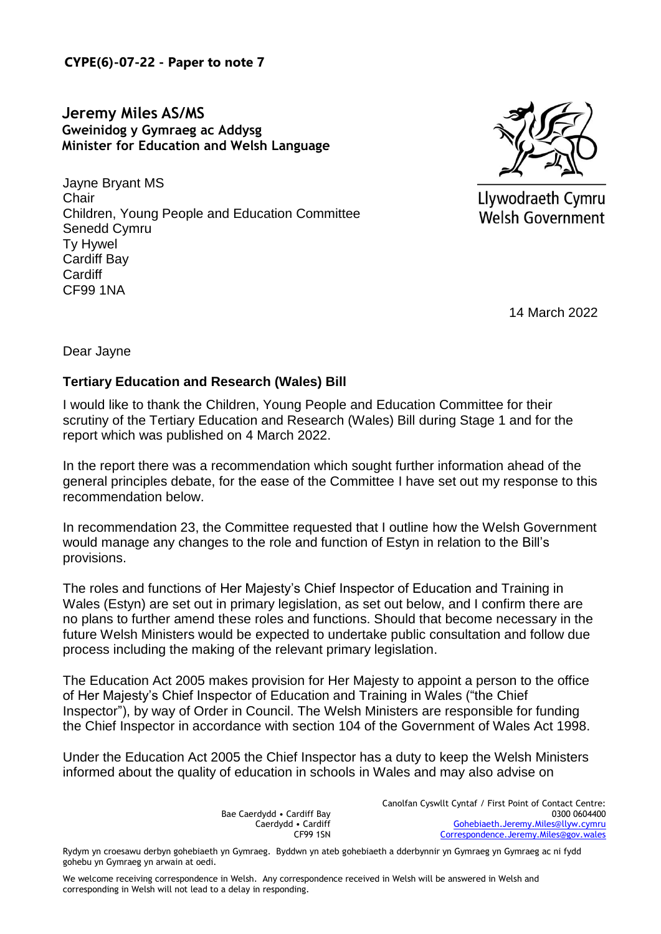**CYPE(6)-07-22 - Paper to note 7** 

**Jeremy Miles AS/MS Gweinidog y Gymraeg ac Addysg Minister for Education and Welsh Language** 

Jayne Bryant MS **Chair** Children, Young People and Education Committee Senedd Cymru Ty Hywel Cardiff Bay **Cardiff** CF99 1NA



Llywodraeth Cymru **Welsh Government** 

14 March 2022

Dear Jayne

## **Tertiary Education and Research (Wales) Bill**

I would like to thank the Children, Young People and Education Committee for their scrutiny of the Tertiary Education and Research (Wales) Bill during Stage 1 and for the report which was published on 4 March 2022.

In the report there was a recommendation which sought further information ahead of the general principles debate, for the ease of the Committee I have set out my response to this recommendation below.

In recommendation 23, the Committee requested that I outline how the Welsh Government would manage any changes to the role and function of Estyn in relation to the Bill's provisions.

The roles and functions of Her Majesty's Chief Inspector of Education and Training in Wales (Estyn) are set out in primary legislation, as set out below, and I confirm there are no plans to further amend these roles and functions. Should that become necessary in the future Welsh Ministers would be expected to undertake public consultation and follow due process including the making of the relevant primary legislation.

The Education Act 2005 makes provision for Her Majesty to appoint a person to the office of Her Majesty's Chief Inspector of Education and Training in Wales ("the Chief Inspector"), by way of Order in Council. The Welsh Ministers are responsible for funding the Chief Inspector in accordance with section 104 of the Government of Wales Act 1998.

Under the Education Act 2005 the Chief Inspector has a duty to keep the Welsh Ministers informed about the quality of education in schools in Wales and may also advise on

> Bae Caerdydd • Cardiff Bay Caerdydd • Cardiff CF99 1SN

Canolfan Cyswllt Cyntaf / First Point of Contact Centre: 0300 0604400 [Gohebiaeth.Jeremy.Miles@llyw.cymru](mailto:Gohebiaeth.Jeremy.Miles@llyw.cymru) [Correspondence.Jeremy.Miles@gov.wales](mailto:Correspondence.Jeremy.Miles@gov.wales)

Rydym yn croesawu derbyn gohebiaeth yn Gymraeg. Byddwn yn ateb gohebiaeth a dderbynnir yn Gymraeg yn Gymraeg ac ni fydd gohebu yn Gymraeg yn arwain at oedi.

We welcome receiving correspondence in Welsh. Any correspondence received in Welsh will be answered in Welsh and corresponding in Welsh will not lead to a delay in responding.